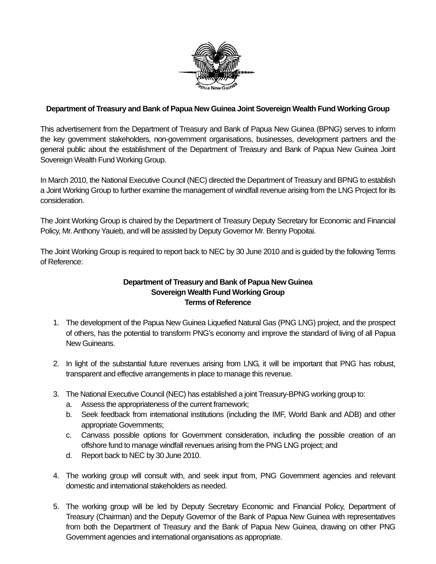

## **Department of Treasury and Bank of Papua New Guinea Joint Sovereign Wealth Fund Working Group**

This advertisement from the Department of Treasury and Bank of Papua New Guinea (BPNG) serves to inform the key government stakeholders, non-government organisations, businesses, development partners and the general public about the establishment of the Department of Treasury and Bank of Papua New Guinea Joint Sovereign Wealth Fund Working Group.

In March 2010, the National Executive Council (NEC) directed the Department of Treasury and BPNG to establish a Joint Working Group to further examine the management of windfall revenue arising from the LNG Project for its consideration.

The Joint Working Group is chaired by the Department of Treasury Deputy Secretary for Economic and Financial Policy, Mr. Anthony Yauieb, and will be assisted by Deputy Governor Mr. Benny Popoitai.

The Joint Working Group is required to report back to NEC by 30 June 2010 and is guided by the following Terms of Reference:

## **Department of Treasury and Bank of Papua New Guinea Sovereign Wealth Fund Working Group Terms of Reference**

- 1. The development of the Papua New Guinea Liquefied Natural Gas (PNG LNG) project, and the prospect of others, has the potential to transform PNG's economy and improve the standard of living of all Papua New Guineans.
- 2. In light of the substantial future revenues arising from LNG, it will be important that PNG has robust, transparent and effective arrangements in place to manage this revenue.
- 3. The National Executive Council (NEC) has established a joint Treasury-BPNG working group to:
	- a. Assess the appropriateness of the current framework;
	- b. Seek feedback from international institutions (including the IMF, World Bank and ADB) and other appropriate Governments;
	- c. Canvass possible options for Government consideration, including the possible creation of an offshore fund to manage windfall revenues arising from the PNG LNG project; and
	- d. Report back to NEC by 30 June 2010.
- 4. The working group will consult with, and seek input from, PNG Government agencies and relevant domestic and international stakeholders as needed.
- 5. The working group will be led by Deputy Secretary Economic and Financial Policy, Department of Treasury (Chairman) and the Deputy Governor of the Bank of Papua New Guinea with representatives from both the Department of Treasury and the Bank of Papua New Guinea, drawing on other PNG Government agencies and international organisations as appropriate.